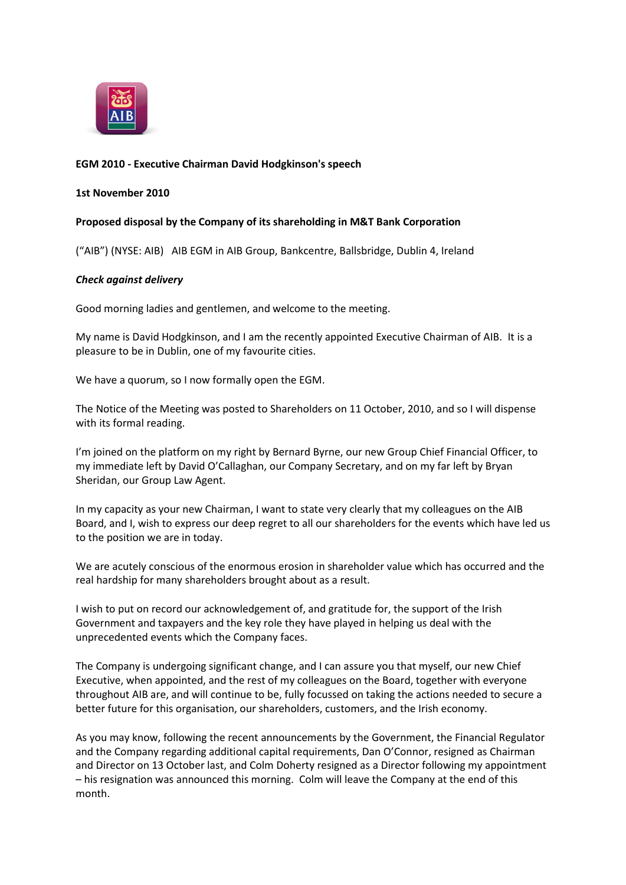

# **EGM 2010 - Executive Chairman David Hodgkinson's speech**

### **1st November 2010**

### **Proposed disposal by the Company of its shareholding in M&T Bank Corporation**

("AIB") (NYSE: AIB) AIB EGM in AIB Group, Bankcentre, Ballsbridge, Dublin 4, Ireland

### *Check against delivery*

Good morning ladies and gentlemen, and welcome to the meeting.

My name is David Hodgkinson, and I am the recently appointed Executive Chairman of AIB. It is a pleasure to be in Dublin, one of my favourite cities.

We have a quorum, so I now formally open the EGM.

The Notice of the Meeting was posted to Shareholders on 11 October, 2010, and so I will dispense with its formal reading.

I'm joined on the platform on my right by Bernard Byrne, our new Group Chief Financial Officer, to my immediate left by David O'Callaghan, our Company Secretary, and on my far left by Bryan Sheridan, our Group Law Agent.

In my capacity as your new Chairman, I want to state very clearly that my colleagues on the AIB Board, and I, wish to express our deep regret to all our shareholders for the events which have led us to the position we are in today.

We are acutely conscious of the enormous erosion in shareholder value which has occurred and the real hardship for many shareholders brought about as a result.

I wish to put on record our acknowledgement of, and gratitude for, the support of the Irish Government and taxpayers and the key role they have played in helping us deal with the unprecedented events which the Company faces.

The Company is undergoing significant change, and I can assure you that myself, our new Chief Executive, when appointed, and the rest of my colleagues on the Board, together with everyone throughout AIB are, and will continue to be, fully focussed on taking the actions needed to secure a better future for this organisation, our shareholders, customers, and the Irish economy.

As you may know, following the recent announcements by the Government, the Financial Regulator and the Company regarding additional capital requirements, Dan O'Connor, resigned as Chairman and Director on 13 October last, and Colm Doherty resigned as a Director following my appointment – his resignation was announced this morning. Colm will leave the Company at the end of this month.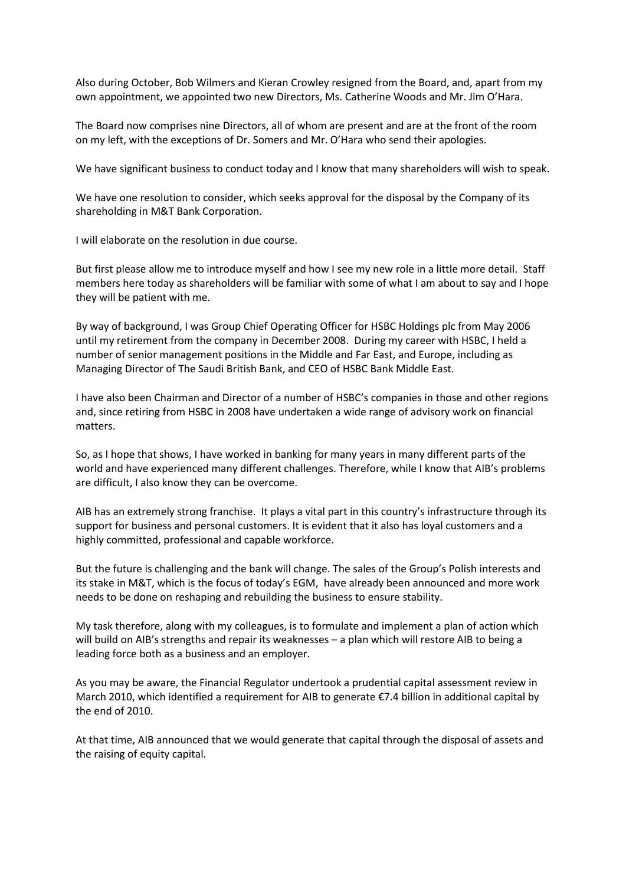Also during October, Bob Wilmers and Kieran Crowley resigned from the Board, and, apart from my own appointment, we appointed two new Directors, Ms. Catherine Woods and Mr. Jim O'Hara.

The Board now comprises nine Directors, all of whom are present and are at the front of the room on my left, with the exceptions of Dr. Somers and Mr. O'Hara who send their apologies.

We have significant business to conduct today and I know that many shareholders will wish to speak.

We have one resolution to consider, which seeks approval for the disposal by the Company of its shareholding in M&T Bank Corporation.

I will elaborate on the resolution in due course.

But first please allow me to introduce myself and how I see my new role in a little more detail. Staff members here today as shareholders will be familiar with some of what I am about to say and I hope they will be patient with me.

By way of background, I was Group Chief Operating Officer for HSBC Holdings plc from May 2006 until my retirement from the company in December 2008. During my career with HSBC, I held a number of senior management positions in the Middle and Far East, and Europe, including as Managing Director of The Saudi British Bank, and CEO of HSBC Bank Middle East.

I have also been Chairman and Director of a number of HSBC's companies in those and other regions and, since retiring from HSBC in 2008 have undertaken a wide range of advisory work on financial matters.

So, as I hope that shows, I have worked in banking for many years in many different parts of the world and have experienced many different challenges. Therefore, while I know that AIB's problems are difficult, I also know they can be overcome.

AIB has an extremely strong franchise. It plays a vital part in this country's infrastructure through its support for business and personal customers. It is evident that it also has loyal customers and a highly committed, professional and capable workforce.

But the future is challenging and the bank will change. The sales of the Group's Polish interests and its stake in M&T, which is the focus of today's EGM, have already been announced and more work needs to be done on reshaping and rebuilding the business to ensure stability.

My task therefore, along with my colleagues, is to formulate and implement a plan of action which will build on AIB's strengths and repair its weaknesses – a plan which will restore AIB to being a leading force both as a business and an employer.

As you may be aware, the Financial Regulator undertook a prudential capital assessment review in March 2010, which identified a requirement for AIB to generate €7.4 billion in additional capital by the end of 2010.

At that time, AIB announced that we would generate that capital through the disposal of assets and the raising of equity capital.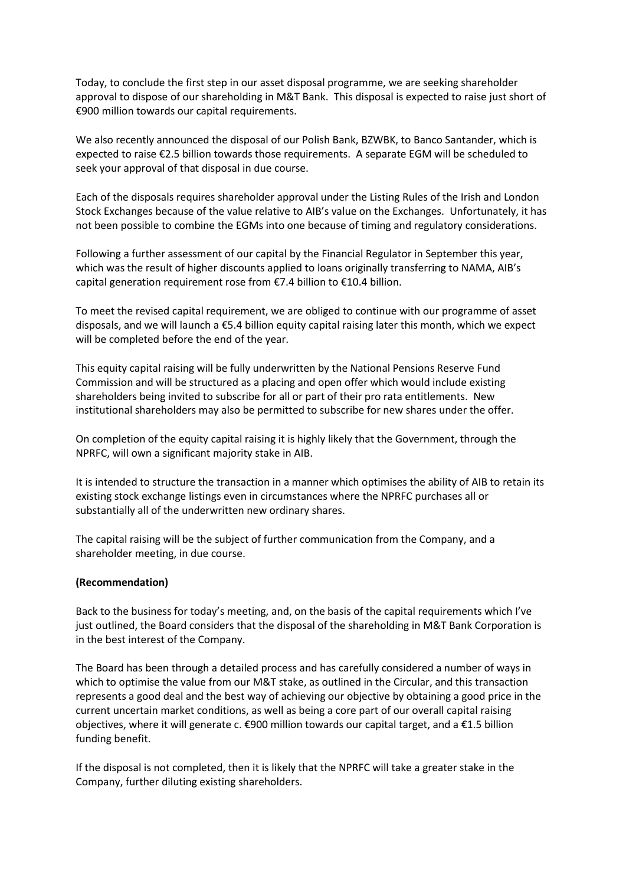Today, to conclude the first step in our asset disposal programme, we are seeking shareholder approval to dispose of our shareholding in M&T Bank. This disposal is expected to raise just short of €900 million towards our capital requirements.

We also recently announced the disposal of our Polish Bank, BZWBK, to Banco Santander, which is expected to raise €2.5 billion towards those requirements. A separate EGM will be scheduled to seek your approval of that disposal in due course.

Each of the disposals requires shareholder approval under the Listing Rules of the Irish and London Stock Exchanges because of the value relative to AIB's value on the Exchanges. Unfortunately, it has not been possible to combine the EGMs into one because of timing and regulatory considerations.

Following a further assessment of our capital by the Financial Regulator in September this year, which was the result of higher discounts applied to loans originally transferring to NAMA, AIB's capital generation requirement rose from €7.4 billion to €10.4 billion.

To meet the revised capital requirement, we are obliged to continue with our programme of asset disposals, and we will launch a €5.4 billion equity capital raising later this month, which we expect will be completed before the end of the year.

This equity capital raising will be fully underwritten by the National Pensions Reserve Fund Commission and will be structured as a placing and open offer which would include existing shareholders being invited to subscribe for all or part of their pro rata entitlements. New institutional shareholders may also be permitted to subscribe for new shares under the offer.

On completion of the equity capital raising it is highly likely that the Government, through the NPRFC, will own a significant majority stake in AIB.

It is intended to structure the transaction in a manner which optimises the ability of AIB to retain its existing stock exchange listings even in circumstances where the NPRFC purchases all or substantially all of the underwritten new ordinary shares.

The capital raising will be the subject of further communication from the Company, and a shareholder meeting, in due course.

## **(Recommendation)**

Back to the business for today's meeting, and, on the basis of the capital requirements which I've just outlined, the Board considers that the disposal of the shareholding in M&T Bank Corporation is in the best interest of the Company.

The Board has been through a detailed process and has carefully considered a number of ways in which to optimise the value from our M&T stake, as outlined in the Circular, and this transaction represents a good deal and the best way of achieving our objective by obtaining a good price in the current uncertain market conditions, as well as being a core part of our overall capital raising objectives, where it will generate c. €900 million towards our capital target, and a €1.5 billion funding benefit.

If the disposal is not completed, then it is likely that the NPRFC will take a greater stake in the Company, further diluting existing shareholders.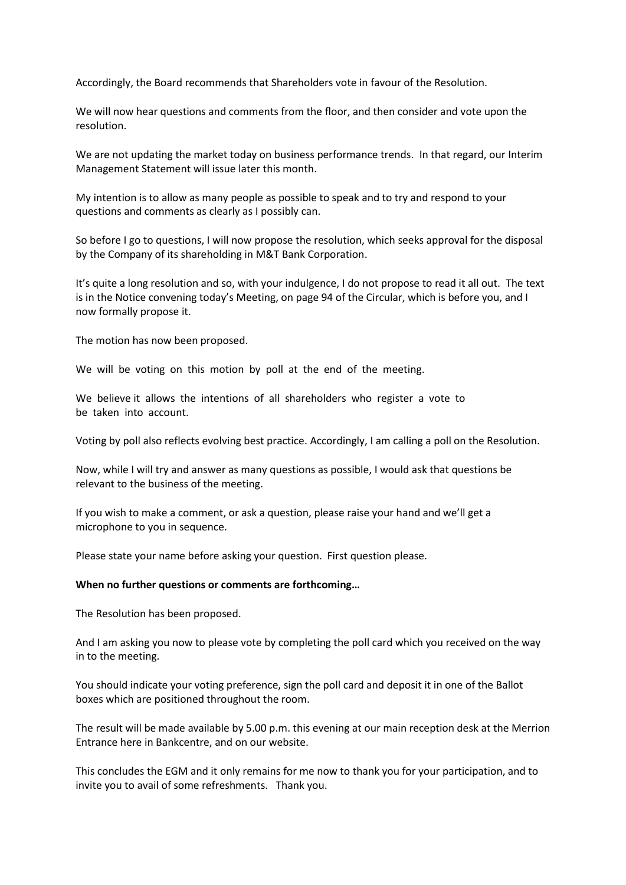Accordingly, the Board recommends that Shareholders vote in favour of the Resolution.

We will now hear questions and comments from the floor, and then consider and vote upon the resolution.

We are not updating the market today on business performance trends. In that regard, our Interim Management Statement will issue later this month.

My intention is to allow as many people as possible to speak and to try and respond to your questions and comments as clearly as I possibly can.

So before I go to questions, I will now propose the resolution, which seeks approval for the disposal by the Company of its shareholding in M&T Bank Corporation.

It's quite a long resolution and so, with your indulgence, I do not propose to read it all out. The text is in the Notice convening today's Meeting, on page 94 of the Circular, which is before you, and I now formally propose it.

The motion has now been proposed.

We will be voting on this motion by poll at the end of the meeting.

We believe it allows the intentions of all shareholders who register a vote to be taken into account.

Voting by poll also reflects evolving best practice. Accordingly, I am calling a poll on the Resolution.

Now, while I will try and answer as many questions as possible, I would ask that questions be relevant to the business of the meeting.

If you wish to make a comment, or ask a question, please raise your hand and we'll get a microphone to you in sequence.

Please state your name before asking your question. First question please.

#### **When no further questions or comments are forthcoming…**

The Resolution has been proposed.

And I am asking you now to please vote by completing the poll card which you received on the way in to the meeting.

You should indicate your voting preference, sign the poll card and deposit it in one of the Ballot boxes which are positioned throughout the room.

The result will be made available by 5.00 p.m. this evening at our main reception desk at the Merrion Entrance here in Bankcentre, and on our website.

This concludes the EGM and it only remains for me now to thank you for your participation, and to invite you to avail of some refreshments. Thank you.